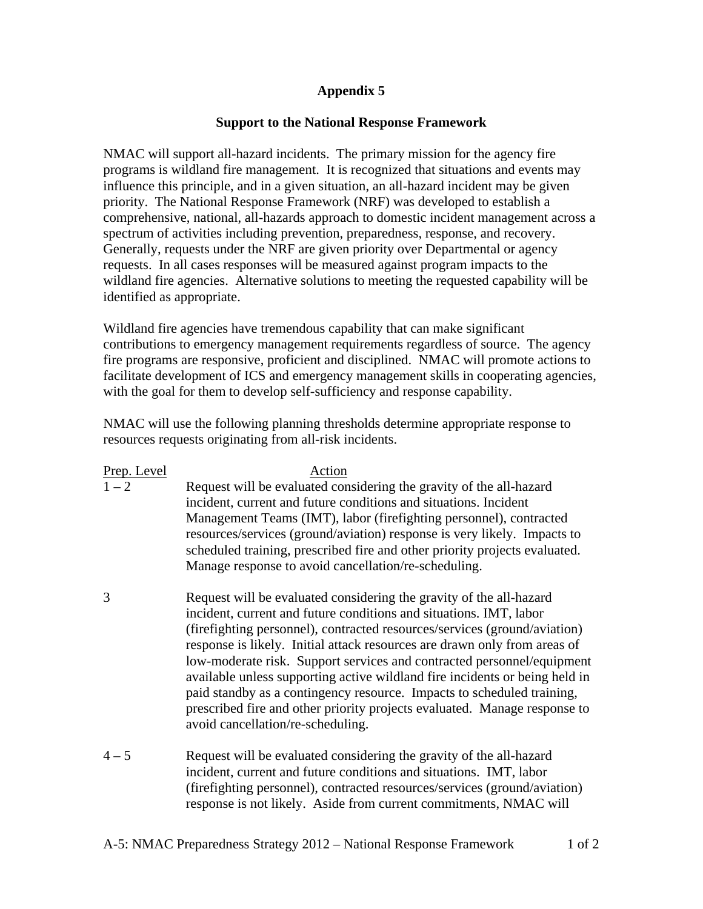## **Appendix 5**

## **Support to the National Response Framework**

NMAC will support all-hazard incidents. The primary mission for the agency fire programs is wildland fire management. It is recognized that situations and events may influence this principle, and in a given situation, an all-hazard incident may be given priority. The National Response Framework (NRF) was developed to establish a comprehensive, national, all-hazards approach to domestic incident management across a spectrum of activities including prevention, preparedness, response, and recovery. Generally, requests under the NRF are given priority over Departmental or agency requests. In all cases responses will be measured against program impacts to the wildland fire agencies. Alternative solutions to meeting the requested capability will be identified as appropriate.

Wildland fire agencies have tremendous capability that can make significant contributions to emergency management requirements regardless of source. The agency fire programs are responsive, proficient and disciplined. NMAC will promote actions to facilitate development of ICS and emergency management skills in cooperating agencies, with the goal for them to develop self-sufficiency and response capability.

NMAC will use the following planning thresholds determine appropriate response to resources requests originating from all-risk incidents.

| Prep. Level | Action                                                                                                                                                                                                                                                                                                                                                                                                                                                                                                                                                                                                                                                   |
|-------------|----------------------------------------------------------------------------------------------------------------------------------------------------------------------------------------------------------------------------------------------------------------------------------------------------------------------------------------------------------------------------------------------------------------------------------------------------------------------------------------------------------------------------------------------------------------------------------------------------------------------------------------------------------|
| $1 - 2$     | Request will be evaluated considering the gravity of the all-hazard<br>incident, current and future conditions and situations. Incident<br>Management Teams (IMT), labor (firefighting personnel), contracted<br>resources/services (ground/aviation) response is very likely. Impacts to<br>scheduled training, prescribed fire and other priority projects evaluated.<br>Manage response to avoid cancellation/re-scheduling.                                                                                                                                                                                                                          |
| 3           | Request will be evaluated considering the gravity of the all-hazard<br>incident, current and future conditions and situations. IMT, labor<br>(firefighting personnel), contracted resources/services (ground/aviation)<br>response is likely. Initial attack resources are drawn only from areas of<br>low-moderate risk. Support services and contracted personnel/equipment<br>available unless supporting active wildland fire incidents or being held in<br>paid standby as a contingency resource. Impacts to scheduled training,<br>prescribed fire and other priority projects evaluated. Manage response to<br>avoid cancellation/re-scheduling. |
| $4 - 5$     | Request will be evaluated considering the gravity of the all-hazard<br>incident, current and future conditions and situations. IMT, labor<br>(firefighting personnel), contracted resources/services (ground/aviation)<br>response is not likely. Aside from current commitments, NMAC will                                                                                                                                                                                                                                                                                                                                                              |